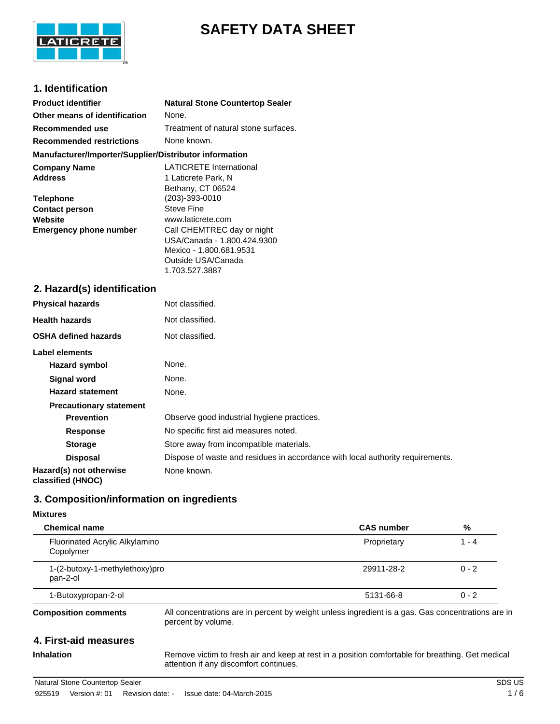

# **SAFETY DATA SHEET**

## **1. Identification**

| <b>Product identifier</b>                              | <b>Natural Stone Countertop Sealer</b> |
|--------------------------------------------------------|----------------------------------------|
| Other means of identification                          | None.                                  |
| Recommended use                                        | Treatment of natural stone surfaces.   |
| <b>Recommended restrictions</b>                        | None known.                            |
| Manufacturer/Importer/Supplier/Distributor information |                                        |
| <b>Company Name</b>                                    | <b>LATICRETE International</b>         |
| <b>Address</b>                                         | 1 Laticrete Park, N                    |
|                                                        | Bethany, CT 06524                      |
| <b>Telephone</b>                                       | (203)-393-0010                         |
| <b>Contact person</b>                                  | <b>Steve Fine</b>                      |
| Website                                                | www.laticrete.com                      |
| <b>Emergency phone number</b>                          | Call CHEMTREC day or night             |
|                                                        | USA/Canada - 1.800.424.9300            |
|                                                        | Mexico - 1.800.681.9531                |
|                                                        | Outside USA/Canada                     |
|                                                        | 1.703.527.3887                         |

## **2. Hazard(s) identification**

| <b>Physical hazards</b>                      | Not classified.                                                                |
|----------------------------------------------|--------------------------------------------------------------------------------|
| <b>Health hazards</b>                        | Not classified.                                                                |
| <b>OSHA defined hazards</b>                  | Not classified.                                                                |
| Label elements                               |                                                                                |
| Hazard symbol                                | None.                                                                          |
| Signal word                                  | None.                                                                          |
| <b>Hazard statement</b>                      | None.                                                                          |
| <b>Precautionary statement</b>               |                                                                                |
| <b>Prevention</b>                            | Observe good industrial hygiene practices.                                     |
| <b>Response</b>                              | No specific first aid measures noted.                                          |
| <b>Storage</b>                               | Store away from incompatible materials.                                        |
| <b>Disposal</b>                              | Dispose of waste and residues in accordance with local authority requirements. |
| Hazard(s) not otherwise<br>classified (HNOC) | None known.                                                                    |

## **3. Composition/information on ingredients**

#### **Mixtures**

| <b>Chemical name</b>                        | <b>CAS number</b>                                                                                                       | %       |
|---------------------------------------------|-------------------------------------------------------------------------------------------------------------------------|---------|
| Fluorinated Acrylic Alkylamino<br>Copolymer | Proprietary                                                                                                             | $1 - 4$ |
| 1-(2-butoxy-1-methylethoxy)pro<br>pan-2-ol  | 29911-28-2                                                                                                              | $0 - 2$ |
| 1-Butoxypropan-2-ol                         | 5131-66-8                                                                                                               | $0 - 2$ |
| <b>Composition comments</b>                 | All concentrations are in percent by weight unless ingredient is a gas. Gas concentrations are in<br>percent by volume. |         |
| 4. First-aid measures                       |                                                                                                                         |         |

**Inhalation** Remove victim to fresh air and keep at rest in a position comfortable for breathing. Get medical attention if any discomfort continues.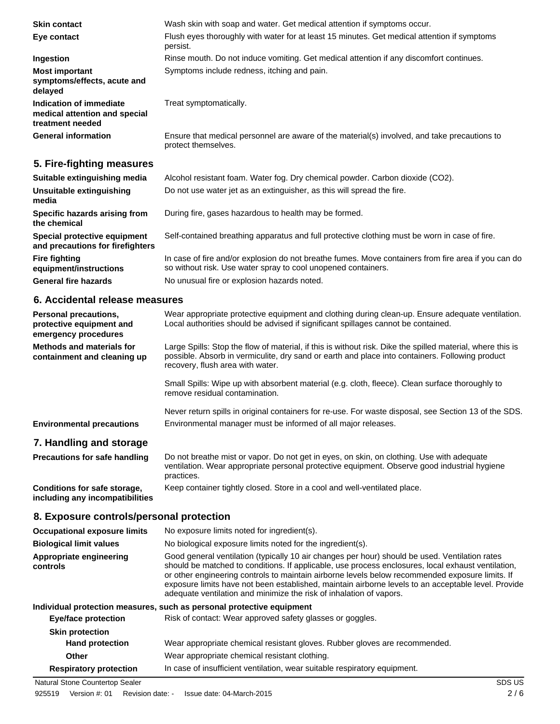| <b>Skin contact</b>                                                          | Wash skin with soap and water. Get medical attention if symptoms occur.                                             |
|------------------------------------------------------------------------------|---------------------------------------------------------------------------------------------------------------------|
| Eye contact                                                                  | Flush eyes thoroughly with water for at least 15 minutes. Get medical attention if symptoms<br>persist.             |
| Ingestion                                                                    | Rinse mouth. Do not induce vomiting. Get medical attention if any discomfort continues.                             |
| <b>Most important</b><br>symptoms/effects, acute and<br>delayed              | Symptoms include redness, itching and pain.                                                                         |
| Indication of immediate<br>medical attention and special<br>treatment needed | Treat symptomatically.                                                                                              |
| <b>General information</b>                                                   | Ensure that medical personnel are aware of the material(s) involved, and take precautions to<br>protect themselves. |
| 5. Fire-fighting measures                                                    |                                                                                                                     |

| Suitable extinguishing media                                     | Alcohol resistant foam. Water fog. Dry chemical powder. Carbon dioxide (CO2).                                                                                        |
|------------------------------------------------------------------|----------------------------------------------------------------------------------------------------------------------------------------------------------------------|
| Unsuitable extinguishing<br>media                                | Do not use water jet as an extinguisher, as this will spread the fire.                                                                                               |
| Specific hazards arising from<br>the chemical                    | During fire, gases hazardous to health may be formed.                                                                                                                |
| Special protective equipment<br>and precautions for firefighters | Self-contained breathing apparatus and full protective clothing must be worn in case of fire.                                                                        |
| <b>Fire fighting</b><br>equipment/instructions                   | In case of fire and/or explosion do not breathe fumes. Move containers from fire area if you can do<br>so without risk. Use water spray to cool unopened containers. |
| <b>General fire hazards</b>                                      | No unusual fire or explosion hazards noted.                                                                                                                          |
|                                                                  |                                                                                                                                                                      |

### **6. Accidental release measures**

| Personal precautions,<br>protective equipment and<br>emergency procedures | Wear appropriate protective equipment and clothing during clean-up. Ensure adequate ventilation.<br>Local authorities should be advised if significant spillages cannot be contained.                                                             |
|---------------------------------------------------------------------------|---------------------------------------------------------------------------------------------------------------------------------------------------------------------------------------------------------------------------------------------------|
| Methods and materials for<br>containment and cleaning up                  | Large Spills: Stop the flow of material, if this is without risk. Dike the spilled material, where this is<br>possible. Absorb in vermiculite, dry sand or earth and place into containers. Following product<br>recovery, flush area with water. |
|                                                                           | Small Spills: Wipe up with absorbent material (e.g. cloth, fleece). Clean surface thoroughly to<br>remove residual contamination.                                                                                                                 |
|                                                                           | Never return spills in original containers for re-use. For waste disposal, see Section 13 of the SDS.                                                                                                                                             |
| <b>Environmental precautions</b>                                          | Environmental manager must be informed of all major releases.                                                                                                                                                                                     |
| 7. Handling and storage                                                   |                                                                                                                                                                                                                                                   |
| <b>Precautions for safe handling</b>                                      | Do not breathe mist or vapor. Do not get in eyes, on skin, on clothing. Use with adequate<br>ventilation. Wear appropriate personal protective equipment. Observe good industrial hygiene<br>practices.                                           |

**Conditions for safe storage, including any incompatibilities**

Keep container tightly closed. Store in a cool and well-ventilated place.

## **8. Exposure controls/personal protection**

| Natural Stone Countertop Sealer     | SDS US                                                                                                                                                                                                                                                                                                                                                                                                                                                                                |
|-------------------------------------|---------------------------------------------------------------------------------------------------------------------------------------------------------------------------------------------------------------------------------------------------------------------------------------------------------------------------------------------------------------------------------------------------------------------------------------------------------------------------------------|
| <b>Respiratory protection</b>       | In case of insufficient ventilation, wear suitable respiratory equipment.                                                                                                                                                                                                                                                                                                                                                                                                             |
| Other                               | Wear appropriate chemical resistant clothing.                                                                                                                                                                                                                                                                                                                                                                                                                                         |
| <b>Hand protection</b>              | Wear appropriate chemical resistant gloves. Rubber gloves are recommended.                                                                                                                                                                                                                                                                                                                                                                                                            |
| <b>Skin protection</b>              |                                                                                                                                                                                                                                                                                                                                                                                                                                                                                       |
| Eye/face protection                 | Risk of contact: Wear approved safety glasses or goggles.                                                                                                                                                                                                                                                                                                                                                                                                                             |
|                                     | Individual protection measures, such as personal protective equipment                                                                                                                                                                                                                                                                                                                                                                                                                 |
| Appropriate engineering<br>controls | Good general ventilation (typically 10 air changes per hour) should be used. Ventilation rates<br>should be matched to conditions. If applicable, use process enclosures, local exhaust ventilation,<br>or other engineering controls to maintain airborne levels below recommended exposure limits. If<br>exposure limits have not been established, maintain airborne levels to an acceptable level. Provide<br>adequate ventilation and minimize the risk of inhalation of vapors. |
| <b>Biological limit values</b>      | No biological exposure limits noted for the ingredient(s).                                                                                                                                                                                                                                                                                                                                                                                                                            |
| <b>Occupational exposure limits</b> | No exposure limits noted for ingredient(s).                                                                                                                                                                                                                                                                                                                                                                                                                                           |
|                                     |                                                                                                                                                                                                                                                                                                                                                                                                                                                                                       |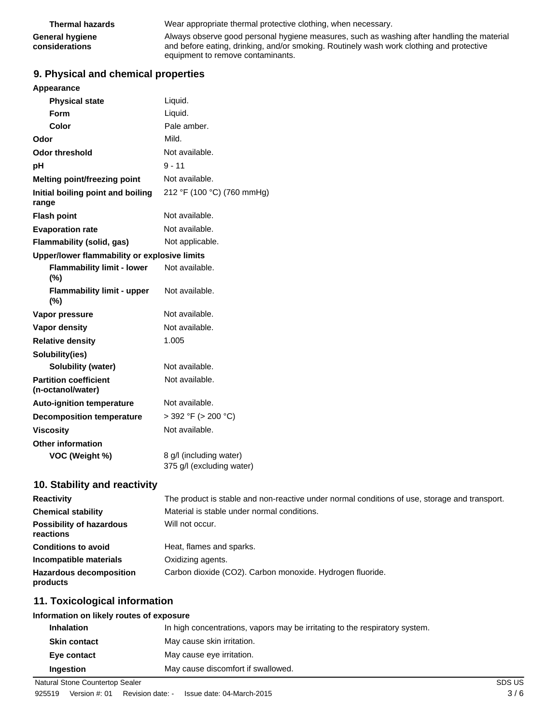| <b>Thermal hazards</b>                   | Wear appropriate thermal protective clothing, when necessary.                                                                                                                                                               |
|------------------------------------------|-----------------------------------------------------------------------------------------------------------------------------------------------------------------------------------------------------------------------------|
| <b>General hygiene</b><br>considerations | Always observe good personal hygiene measures, such as washing after handling the material<br>and before eating, drinking, and/or smoking. Routinely wash work clothing and protective<br>equipment to remove contaminants. |

## **9. Physical and chemical properties**

| Appearance                                        |                                                      |
|---------------------------------------------------|------------------------------------------------------|
| <b>Physical state</b>                             | Liquid.                                              |
| <b>Form</b>                                       | Liquid.                                              |
| Color                                             | Pale amber.                                          |
| Odor                                              | Mild.                                                |
| <b>Odor threshold</b>                             | Not available.                                       |
| рH                                                | $9 - 11$                                             |
| Melting point/freezing point                      | Not available.                                       |
| Initial boiling point and boiling<br>range        | 212 °F (100 °C) (760 mmHg)                           |
| <b>Flash point</b>                                | Not available.                                       |
| <b>Evaporation rate</b>                           | Not available.                                       |
| <b>Flammability (solid, gas)</b>                  | Not applicable.                                      |
| Upper/lower flammability or explosive limits      |                                                      |
| <b>Flammability limit - lower</b><br>$(\%)$       | Not available.                                       |
| <b>Flammability limit - upper</b><br>(%)          | Not available.                                       |
| Vapor pressure                                    | Not available.                                       |
| <b>Vapor density</b>                              | Not available.                                       |
| <b>Relative density</b>                           | 1.005                                                |
| Solubility(ies)                                   |                                                      |
| Solubility (water)                                | Not available.                                       |
| <b>Partition coefficient</b><br>(n-octanol/water) | Not available.                                       |
| <b>Auto-ignition temperature</b>                  | Not available.                                       |
| <b>Decomposition temperature</b>                  | $>$ 392 °F ( $>$ 200 °C)                             |
| <b>Viscosity</b>                                  | Not available.                                       |
| <b>Other information</b>                          |                                                      |
| VOC (Weight %)                                    | 8 g/l (including water)<br>375 g/l (excluding water) |
| 10. Stability and reactivity                      |                                                      |

| <b>Reactivity</b>                            | The product is stable and non-reactive under normal conditions of use, storage and transport. |
|----------------------------------------------|-----------------------------------------------------------------------------------------------|
| <b>Chemical stability</b>                    | Material is stable under normal conditions.                                                   |
| <b>Possibility of hazardous</b><br>reactions | Will not occur.                                                                               |
| <b>Conditions to avoid</b>                   | Heat, flames and sparks.                                                                      |
| Incompatible materials                       | Oxidizing agents.                                                                             |
| <b>Hazardous decomposition</b><br>products   | Carbon dioxide (CO2). Carbon monoxide. Hydrogen fluoride.                                     |

## **11. Toxicological information**

| Information on likely routes of exposure |                                                                             |
|------------------------------------------|-----------------------------------------------------------------------------|
| <b>Inhalation</b>                        | In high concentrations, vapors may be irritating to the respiratory system. |
| <b>Skin contact</b>                      | May cause skin irritation.                                                  |
| Eye contact                              | May cause eye irritation.                                                   |
| Ingestion                                | May cause discomfort if swallowed.                                          |

Natural Stone Countertop Sealer SDS US Natural Stone Countertop Sealer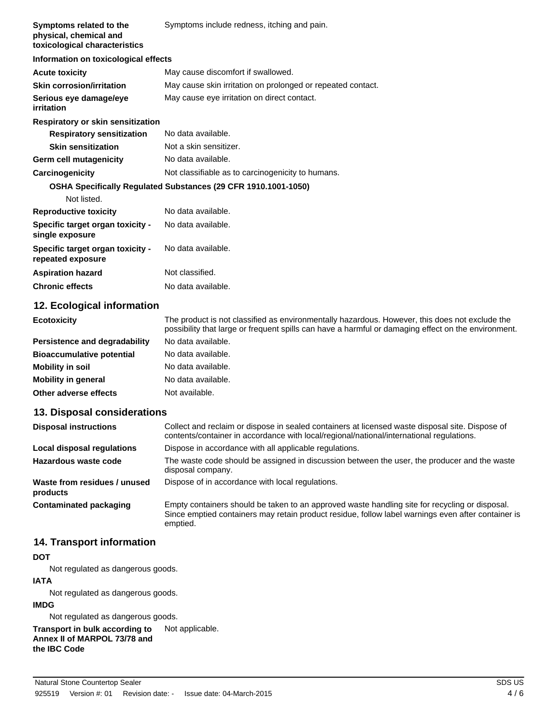| Symptoms related to the<br>physical, chemical and<br>toxicological characteristics | Symptoms include redness, itching and pain.                    |
|------------------------------------------------------------------------------------|----------------------------------------------------------------|
| Information on toxicological effects                                               |                                                                |
| <b>Acute toxicity</b>                                                              | May cause discomfort if swallowed.                             |
| <b>Skin corrosion/irritation</b>                                                   | May cause skin irritation on prolonged or repeated contact.    |
| Serious eye damage/eye<br>irritation                                               | May cause eye irritation on direct contact.                    |
| <b>Respiratory or skin sensitization</b>                                           |                                                                |
| <b>Respiratory sensitization</b>                                                   | No data available.                                             |
| <b>Skin sensitization</b>                                                          | Not a skin sensitizer.                                         |
| Germ cell mutagenicity                                                             | No data available.                                             |
| Carcinogenicity                                                                    | Not classifiable as to carcinogenicity to humans.              |
|                                                                                    | OSHA Specifically Regulated Substances (29 CFR 1910.1001-1050) |
| Not listed.                                                                        |                                                                |
| <b>Reproductive toxicity</b>                                                       | No data available.                                             |
| Specific target organ toxicity -<br>single exposure                                | No data available.                                             |
| Specific target organ toxicity -<br>repeated exposure                              | No data available.                                             |
| <b>Aspiration hazard</b>                                                           | Not classified.                                                |
| <b>Chronic effects</b>                                                             | No data available.                                             |

## **12. Ecological information**

| <b>Ecotoxicity</b>                   | The product is not classified as environmentally hazardous. However, this does not exclude the<br>possibility that large or frequent spills can have a harmful or damaging effect on the environment. |
|--------------------------------------|-------------------------------------------------------------------------------------------------------------------------------------------------------------------------------------------------------|
| <b>Persistence and degradability</b> | No data available.                                                                                                                                                                                    |
| <b>Bioaccumulative potential</b>     | No data available.                                                                                                                                                                                    |
| Mobility in soil                     | No data available.                                                                                                                                                                                    |
| <b>Mobility in general</b>           | No data available.                                                                                                                                                                                    |
| Other adverse effects                | Not available.                                                                                                                                                                                        |
|                                      |                                                                                                                                                                                                       |

### **13. Disposal considerations**

| <b>Disposal instructions</b>             | Collect and reclaim or dispose in sealed containers at licensed waste disposal site. Dispose of<br>contents/container in accordance with local/regional/national/international regulations.                      |
|------------------------------------------|------------------------------------------------------------------------------------------------------------------------------------------------------------------------------------------------------------------|
| Local disposal regulations               | Dispose in accordance with all applicable regulations.                                                                                                                                                           |
| Hazardous waste code                     | The waste code should be assigned in discussion between the user, the producer and the waste<br>disposal company.                                                                                                |
| Waste from residues / unused<br>products | Dispose of in accordance with local regulations.                                                                                                                                                                 |
| Contaminated packaging                   | Empty containers should be taken to an approved waste handling site for recycling or disposal.<br>Since emptied containers may retain product residue, follow label warnings even after container is<br>emptied. |

## **14. Transport information**

### **DOT**

Not regulated as dangerous goods.

## **IATA**

Not regulated as dangerous goods.

#### **IMDG**

Not regulated as dangerous goods.

**Transport in bulk according to** Not applicable.

**Annex II of MARPOL 73/78 and the IBC Code**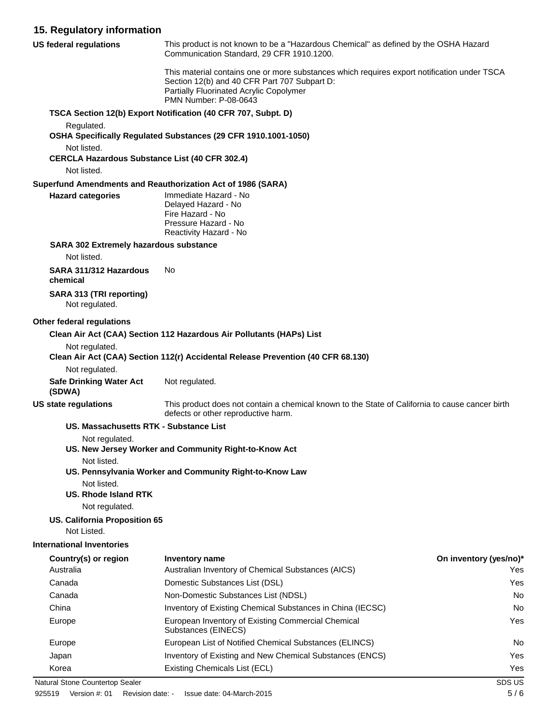## **15. Regulatory information**

| <b>US federal regulations</b>                                                       | This product is not known to be a "Hazardous Chemical" as defined by the OSHA Hazard<br>Communication Standard, 29 CFR 1910.1200.                                                                               |                        |
|-------------------------------------------------------------------------------------|-----------------------------------------------------------------------------------------------------------------------------------------------------------------------------------------------------------------|------------------------|
|                                                                                     | This material contains one or more substances which requires export notification under TSCA<br>Section 12(b) and 40 CFR Part 707 Subpart D:<br>Partially Fluorinated Acrylic Copolymer<br>PMN Number: P-08-0643 |                        |
|                                                                                     | TSCA Section 12(b) Export Notification (40 CFR 707, Subpt. D)                                                                                                                                                   |                        |
| Regulated.                                                                          | OSHA Specifically Regulated Substances (29 CFR 1910.1001-1050)                                                                                                                                                  |                        |
| Not listed.<br><b>CERCLA Hazardous Substance List (40 CFR 302.4)</b><br>Not listed. |                                                                                                                                                                                                                 |                        |
|                                                                                     | Superfund Amendments and Reauthorization Act of 1986 (SARA)                                                                                                                                                     |                        |
| <b>Hazard categories</b>                                                            | Immediate Hazard - No<br>Delayed Hazard - No<br>Fire Hazard - No<br>Pressure Hazard - No<br>Reactivity Hazard - No                                                                                              |                        |
| <b>SARA 302 Extremely hazardous substance</b>                                       |                                                                                                                                                                                                                 |                        |
| Not listed.                                                                         |                                                                                                                                                                                                                 |                        |
| SARA 311/312 Hazardous<br>chemical                                                  | No                                                                                                                                                                                                              |                        |
| <b>SARA 313 (TRI reporting)</b><br>Not regulated.                                   |                                                                                                                                                                                                                 |                        |
| Other federal regulations                                                           |                                                                                                                                                                                                                 |                        |
|                                                                                     | Clean Air Act (CAA) Section 112 Hazardous Air Pollutants (HAPs) List                                                                                                                                            |                        |
| Not regulated.                                                                      | Clean Air Act (CAA) Section 112(r) Accidental Release Prevention (40 CFR 68.130)                                                                                                                                |                        |
| Not regulated.                                                                      |                                                                                                                                                                                                                 |                        |
| <b>Safe Drinking Water Act</b><br>(SDWA)                                            | Not regulated.                                                                                                                                                                                                  |                        |
| <b>US state regulations</b>                                                         | This product does not contain a chemical known to the State of California to cause cancer birth<br>defects or other reproductive harm.                                                                          |                        |
| US. Massachusetts RTK - Substance List                                              |                                                                                                                                                                                                                 |                        |
| Not regulated.                                                                      |                                                                                                                                                                                                                 |                        |
|                                                                                     | US. New Jersey Worker and Community Right-to-Know Act                                                                                                                                                           |                        |
| Not listed.                                                                         | US. Pennsylvania Worker and Community Right-to-Know Law                                                                                                                                                         |                        |
| Not listed.<br><b>US. Rhode Island RTK</b>                                          |                                                                                                                                                                                                                 |                        |
| Not regulated.                                                                      |                                                                                                                                                                                                                 |                        |
| US. California Proposition 65                                                       |                                                                                                                                                                                                                 |                        |
| Not Listed.                                                                         |                                                                                                                                                                                                                 |                        |
| <b>International Inventories</b>                                                    |                                                                                                                                                                                                                 |                        |
| Country(s) or region                                                                | <b>Inventory name</b>                                                                                                                                                                                           | On inventory (yes/no)* |
| Australia                                                                           | Australian Inventory of Chemical Substances (AICS)                                                                                                                                                              | Yes                    |
| Canada                                                                              | Domestic Substances List (DSL)                                                                                                                                                                                  | Yes                    |
| Canada                                                                              | Non-Domestic Substances List (NDSL)                                                                                                                                                                             | No                     |
| China                                                                               | Inventory of Existing Chemical Substances in China (IECSC)                                                                                                                                                      | No                     |
| Europe                                                                              | European Inventory of Existing Commercial Chemical<br>Substances (EINECS)                                                                                                                                       | Yes                    |
| Europe                                                                              | European List of Notified Chemical Substances (ELINCS)                                                                                                                                                          | No                     |
| Japan                                                                               | Inventory of Existing and New Chemical Substances (ENCS)                                                                                                                                                        | Yes                    |
| Korea                                                                               | Existing Chemicals List (ECL)                                                                                                                                                                                   | Yes                    |
| Natural Stone Countertop Sealer                                                     |                                                                                                                                                                                                                 | SDS US                 |

925519 Version #: 01 Revision date: - Issue date: 04-March-2015 5 / 6 5 / 6